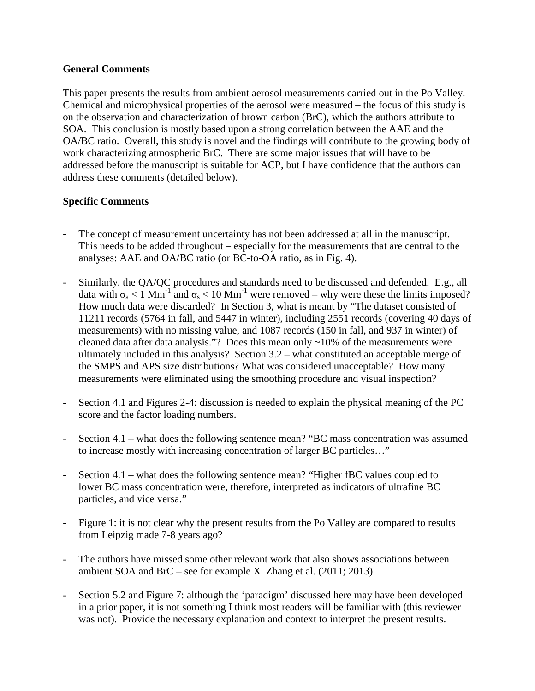## **General Comments**

This paper presents the results from ambient aerosol measurements carried out in the Po Valley. Chemical and microphysical properties of the aerosol were measured – the focus of this study is on the observation and characterization of brown carbon (BrC), which the authors attribute to SOA. This conclusion is mostly based upon a strong correlation between the AAE and the OA/BC ratio. Overall, this study is novel and the findings will contribute to the growing body of work characterizing atmospheric BrC. There are some major issues that will have to be addressed before the manuscript is suitable for ACP, but I have confidence that the authors can address these comments (detailed below).

## **Specific Comments**

- The concept of measurement uncertainty has not been addressed at all in the manuscript. This needs to be added throughout – especially for the measurements that are central to the analyses: AAE and OA/BC ratio (or BC-to-OA ratio, as in Fig. 4).
- Similarly, the QA/QC procedures and standards need to be discussed and defended. E.g., all data with  $\sigma_a < 1$  Mm<sup>-1</sup> and  $\sigma_s < 10$  Mm<sup>-1</sup> were removed – why were these the limits imposed? How much data were discarded? In Section 3, what is meant by "The dataset consisted of 11211 records (5764 in fall, and 5447 in winter), including 2551 records (covering 40 days of measurements) with no missing value, and 1087 records (150 in fall, and 937 in winter) of cleaned data after data analysis."? Does this mean only ~10% of the measurements were ultimately included in this analysis? Section 3.2 – what constituted an acceptable merge of the SMPS and APS size distributions? What was considered unacceptable? How many measurements were eliminated using the smoothing procedure and visual inspection?
- Section 4.1 and Figures 2-4: discussion is needed to explain the physical meaning of the PC score and the factor loading numbers.
- Section 4.1 what does the following sentence mean? "BC mass concentration was assumed to increase mostly with increasing concentration of larger BC particles…"
- Section 4.1 what does the following sentence mean? "Higher fBC values coupled to lower BC mass concentration were, therefore, interpreted as indicators of ultrafine BC particles, and vice versa."
- Figure 1: it is not clear why the present results from the Po Valley are compared to results from Leipzig made 7-8 years ago?
- The authors have missed some other relevant work that also shows associations between ambient SOA and BrC – see for example X. Zhang et al. (2011; 2013).
- Section 5.2 and Figure 7: although the 'paradigm' discussed here may have been developed in a prior paper, it is not something I think most readers will be familiar with (this reviewer was not). Provide the necessary explanation and context to interpret the present results.